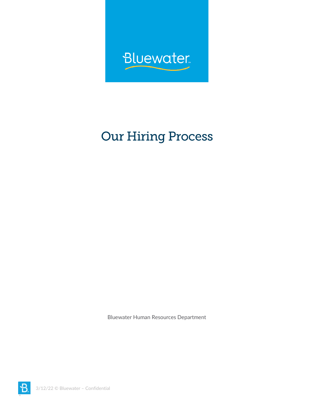

## **Our Hiring Process**

Bluewater Human Resources Department

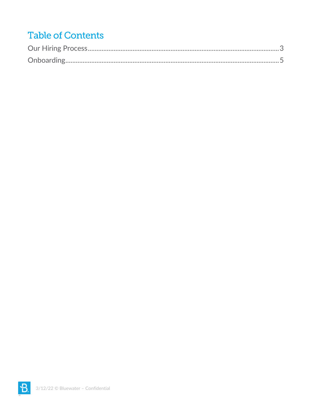## **Table of Contents**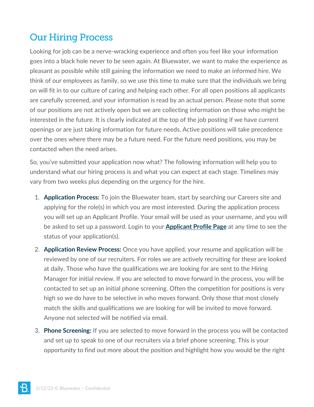## <span id="page-2-0"></span>**Our Hiring Process**

Looking for job can be a nerve-wracking experience and often you feel like your information goes into a black hole never to be seen again. At Bluewater, we want to make the experience as pleasant as possible while still gaining the information we need to make an informed hire. We think of our employees as family, so we use this time to make sure that the individuals we bring on will fit in to our culture of caring and helping each other. For all open positions all applicants are carefully screened, and your information is read by an actual person. Please note that some of our positions are not actively open but we are collecting information on those who might be interested in the future. It is clearly indicated at the top of the job posting if we have current openings or are just taking information for future needs. Active positions will take precedence over the ones where there may be a future need. For the future need positions, you may be contacted when the need arises.

So, you've submitted your application now what? The following information will help you to understand what our hiring process is and what you can expect at each stage. Timelines may vary from two weeks plus depending on the urgency for the hire.

- 1. **Application Process:** To join the Bluewater team, start by searching our Careers site and applying for the role(s) in which you are most interested. During the application process you will set up an Applicant Profile. Your email will be used as your username, and you will be asked to set up a password. Login to your **[Applicant Profile Page](https://bluewater.csod.com/ats/careersite/ds.aspx?routename=ATS/CareerSite/MyProfile&site=9&c=Bluewater)** at any time to see the status of your application(s).
- 2. **Application Review Process:** Once you have applied, your resume and application will be reviewed by one of our recruiters. For roles we are actively recruiting for these are looked at daily. Those who have the qualifications we are looking for are sent to the Hiring Manager for initial review. If you are selected to move forward in the process, you will be contacted to set up an initial phone screening. Often the competition for positions is very high so we do have to be selective in who moves forward. Only those that most closely match the skills and qualifications we are looking for will be invited to move forward. Anyone not selected will be notified via email.
- 3. **Phone Screening:** If you are selected to move forward in the process you will be contacted and set up to speak to one of our recruiters via a brief phone screening. This is your opportunity to find out more about the position and highlight how you would be the right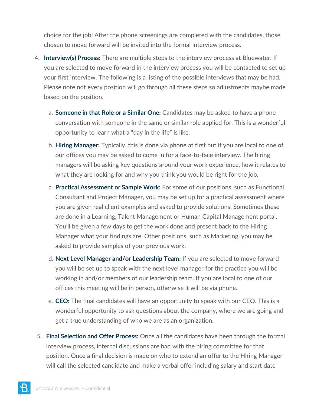choice for the job! After the phone screenings are completed with the candidates, those chosen to move forward will be invited into the formal interview process.

- 4. **Interview(s) Process:** There are multiple steps to the interview process at Bluewater. If you are selected to move forward in the interview process you will be contacted to set up your first interview. The following is a listing of the possible interviews that may be had. Please note not every position will go through all these steps so adjustments maybe made based on the position.
	- a. **Someone in that Role or a Similar One:** Candidates may be asked to have a phone conversation with someone in the same or similar role applied for. This is a wonderful opportunity to learn what a "day in the life" is like.
	- b. **Hiring Manager:** Typically, this is done via phone at first but if you are local to one of our offices you may be asked to come in for a face-to-face interview. The hiring managers will be asking key questions around your work experience, how it relates to what they are looking for and why you think you would be right for the job.
	- c. **Practical Assessment or Sample Work:** For some of our positions, such as Functional Consultant and Project Manager, you may be set up for a practical assessment where you are given real client examples and asked to provide solutions. Sometimes these are done in a Learning, Talent Management or Human Capital Management portal. You'll be given a few days to get the work done and present back to the Hiring Manager what your findings are. Other positions, such as Marketing, you may be asked to provide samples of your previous work.
	- d. **Next Level Manager and/or Leadership Team:** If you are selected to move forward you will be set up to speak with the next level manager for the practice you will be working in and/or members of our leadership team. If you are local to one of our offices this meeting will be in person, otherwise it will be via phone.
	- e. **CEO:** The final candidates will have an opportunity to speak with our CEO. This is a wonderful opportunity to ask questions about the company, where we are going and get a true understanding of who we are as an organization.
- 5. **Final Selection and Offer Process:** Once all the candidates have been through the formal interview process, internal discussions are had with the hiring committee for that position. Once a final decision is made on who to extend an offer to the Hiring Manager will call the selected candidate and make a verbal offer including salary and start date